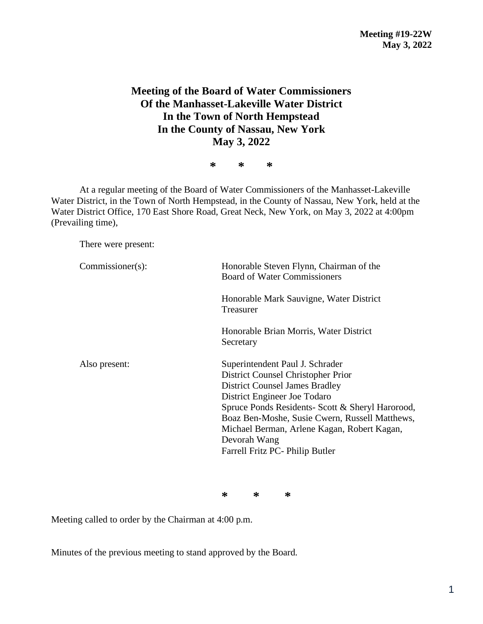## **Meeting of the Board of Water Commissioners Of the Manhasset-Lakeville Water District In the Town of North Hempstead In the County of Nassau, New York May 3, 2022**

**\* \* \***

At a regular meeting of the Board of Water Commissioners of the Manhasset-Lakeville Water District, in the Town of North Hempstead, in the County of Nassau, New York, held at the Water District Office, 170 East Shore Road, Great Neck, New York, on May 3, 2022 at 4:00pm (Prevailing time),

There were present:

| Commissioner(s): | Honorable Steven Flynn, Chairman of the<br><b>Board of Water Commissioners</b>                                                                                                                                                                                                                                                                         |  |  |
|------------------|--------------------------------------------------------------------------------------------------------------------------------------------------------------------------------------------------------------------------------------------------------------------------------------------------------------------------------------------------------|--|--|
|                  | Honorable Mark Sauvigne, Water District<br>Treasurer                                                                                                                                                                                                                                                                                                   |  |  |
|                  | Honorable Brian Morris, Water District<br>Secretary                                                                                                                                                                                                                                                                                                    |  |  |
| Also present:    | Superintendent Paul J. Schrader<br>District Counsel Christopher Prior<br><b>District Counsel James Bradley</b><br>District Engineer Joe Todaro<br>Spruce Ponds Residents- Scott & Sheryl Harorood,<br>Boaz Ben-Moshe, Susie Cwern, Russell Matthews,<br>Michael Berman, Arlene Kagan, Robert Kagan,<br>Devorah Wang<br>Farrell Fritz PC- Philip Butler |  |  |

**\* \* \***

Meeting called to order by the Chairman at 4:00 p.m.

Minutes of the previous meeting to stand approved by the Board.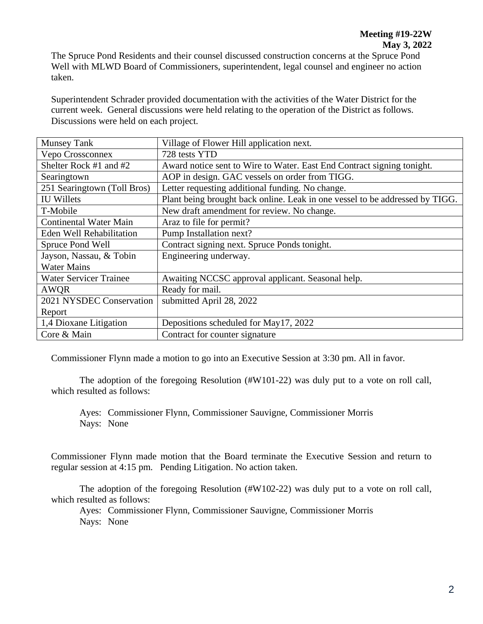The Spruce Pond Residents and their counsel discussed construction concerns at the Spruce Pond Well with MLWD Board of Commissioners, superintendent, legal counsel and engineer no action taken.

Superintendent Schrader provided documentation with the activities of the Water District for the current week. General discussions were held relating to the operation of the District as follows. Discussions were held on each project.

| <b>Munsey Tank</b>            | Village of Flower Hill application next.                                     |  |  |
|-------------------------------|------------------------------------------------------------------------------|--|--|
| Vepo Crossconnex              | 728 tests YTD                                                                |  |  |
| Shelter Rock #1 and #2        | Award notice sent to Wire to Water. East End Contract signing tonight.       |  |  |
| Searingtown                   | AOP in design. GAC vessels on order from TIGG.                               |  |  |
| 251 Searingtown (Toll Bros)   | Letter requesting additional funding. No change.                             |  |  |
| <b>IU Willets</b>             | Plant being brought back online. Leak in one vessel to be addressed by TIGG. |  |  |
| T-Mobile                      | New draft amendment for review. No change.                                   |  |  |
| <b>Continental Water Main</b> | Araz to file for permit?                                                     |  |  |
| Eden Well Rehabilitation      | Pump Installation next?                                                      |  |  |
| Spruce Pond Well              | Contract signing next. Spruce Ponds tonight.                                 |  |  |
| Jayson, Nassau, & Tobin       | Engineering underway.                                                        |  |  |
| <b>Water Mains</b>            |                                                                              |  |  |
| <b>Water Servicer Trainee</b> | Awaiting NCCSC approval applicant. Seasonal help.                            |  |  |
| AWQR                          | Ready for mail.                                                              |  |  |
| 2021 NYSDEC Conservation      | submitted April 28, 2022                                                     |  |  |
| Report                        |                                                                              |  |  |
| 1,4 Dioxane Litigation        | Depositions scheduled for May17, 2022                                        |  |  |
| Core & Main                   | Contract for counter signature                                               |  |  |

Commissioner Flynn made a motion to go into an Executive Session at 3:30 pm. All in favor.

The adoption of the foregoing Resolution (#W101-22) was duly put to a vote on roll call, which resulted as follows:

Ayes: Commissioner Flynn, Commissioner Sauvigne, Commissioner Morris Nays: None

Commissioner Flynn made motion that the Board terminate the Executive Session and return to regular session at 4:15 pm. Pending Litigation. No action taken.

The adoption of the foregoing Resolution (#W102-22) was duly put to a vote on roll call, which resulted as follows:

Ayes: Commissioner Flynn, Commissioner Sauvigne, Commissioner Morris Nays: None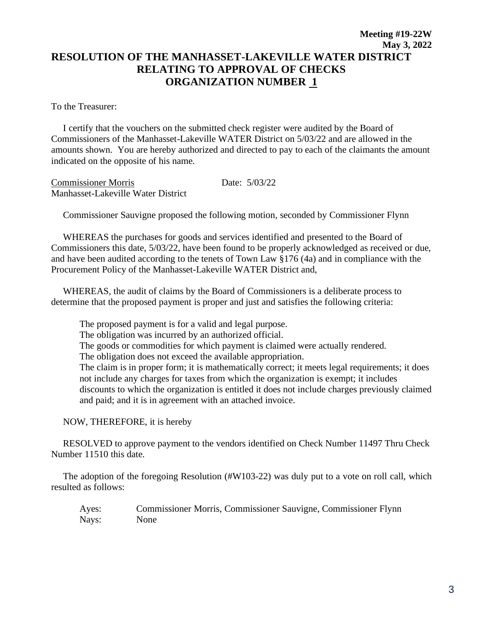## **Meeting #19-22W May 3, 2022 RESOLUTION OF THE MANHASSET-LAKEVILLE WATER DISTRICT RELATING TO APPROVAL OF CHECKS ORGANIZATION NUMBER 1**

To the Treasurer:

 I certify that the vouchers on the submitted check register were audited by the Board of Commissioners of the Manhasset-Lakeville WATER District on 5/03/22 and are allowed in the amounts shown. You are hereby authorized and directed to pay to each of the claimants the amount indicated on the opposite of his name.

Commissioner Morris Date: 5/03/22 Manhasset-Lakeville Water District

Commissioner Sauvigne proposed the following motion, seconded by Commissioner Flynn

 WHEREAS the purchases for goods and services identified and presented to the Board of Commissioners this date, 5/03/22, have been found to be properly acknowledged as received or due, and have been audited according to the tenets of Town Law §176 (4a) and in compliance with the Procurement Policy of the Manhasset-Lakeville WATER District and,

 WHEREAS, the audit of claims by the Board of Commissioners is a deliberate process to determine that the proposed payment is proper and just and satisfies the following criteria:

The proposed payment is for a valid and legal purpose. The obligation was incurred by an authorized official. The goods or commodities for which payment is claimed were actually rendered. The obligation does not exceed the available appropriation. The claim is in proper form; it is mathematically correct; it meets legal requirements; it does not include any charges for taxes from which the organization is exempt; it includes discounts to which the organization is entitled it does not include charges previously claimed and paid; and it is in agreement with an attached invoice.

NOW, THEREFORE, it is hereby

 RESOLVED to approve payment to the vendors identified on Check Number 11497 Thru Check Number 11510 this date.

 The adoption of the foregoing Resolution (#W103-22) was duly put to a vote on roll call, which resulted as follows:

Ayes: Commissioner Morris, Commissioner Sauvigne, Commissioner Flynn Nays: None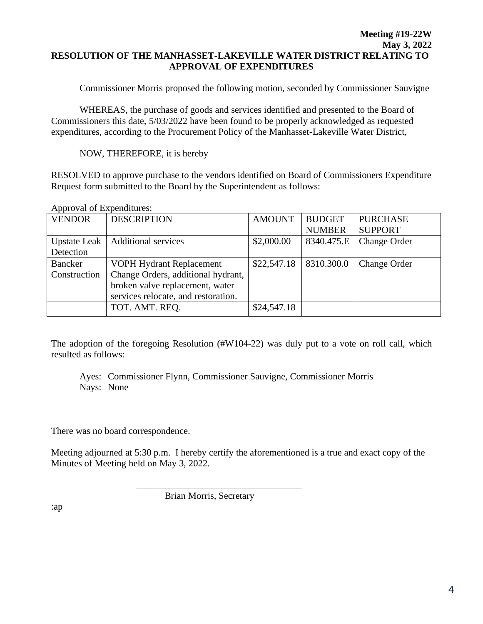## **Meeting #19-22W May 3, 2022 RESOLUTION OF THE MANHASSET-LAKEVILLE WATER DISTRICT RELATING TO APPROVAL OF EXPENDITURES**

Commissioner Morris proposed the following motion, seconded by Commissioner Sauvigne

WHEREAS, the purchase of goods and services identified and presented to the Board of Commissioners this date, 5/03/2022 have been found to be properly acknowledged as requested expenditures, according to the Procurement Policy of the Manhasset-Lakeville Water District,

NOW, THEREFORE, it is hereby

RESOLVED to approve purchase to the vendors identified on Board of Commissioners Expenditure Request form submitted to the Board by the Superintendent as follows:

| <b>VENDOR</b>       | <b>DESCRIPTION</b>                  | <b>AMOUNT</b> | <b>BUDGET</b><br><b>NUMBER</b> | <b>PURCHASE</b><br><b>SUPPORT</b> |
|---------------------|-------------------------------------|---------------|--------------------------------|-----------------------------------|
| <b>Upstate Leak</b> | <b>Additional services</b>          | \$2,000.00    | 8340.475.E                     | <b>Change Order</b>               |
| Detection           |                                     |               |                                |                                   |
| Bancker             | VOPH Hydrant Replacement            | \$22,547.18   | 8310.300.0                     | <b>Change Order</b>               |
| Construction        | Change Orders, additional hydrant,  |               |                                |                                   |
|                     | broken valve replacement, water     |               |                                |                                   |
|                     | services relocate, and restoration. |               |                                |                                   |
|                     | TOT. AMT. REQ.                      | \$24,547.18   |                                |                                   |

Approval of Expenditures:

The adoption of the foregoing Resolution (#W104-22) was duly put to a vote on roll call, which resulted as follows:

Ayes: Commissioner Flynn, Commissioner Sauvigne, Commissioner Morris Nays: None

There was no board correspondence.

Meeting adjourned at 5:30 p.m. I hereby certify the aforementioned is a true and exact copy of the Minutes of Meeting held on May 3, 2022.

Brian Morris, Secretary

\_\_\_\_\_\_\_\_\_\_\_\_\_\_\_\_\_\_\_\_\_\_\_\_\_\_\_\_\_\_\_\_\_\_\_

:ap